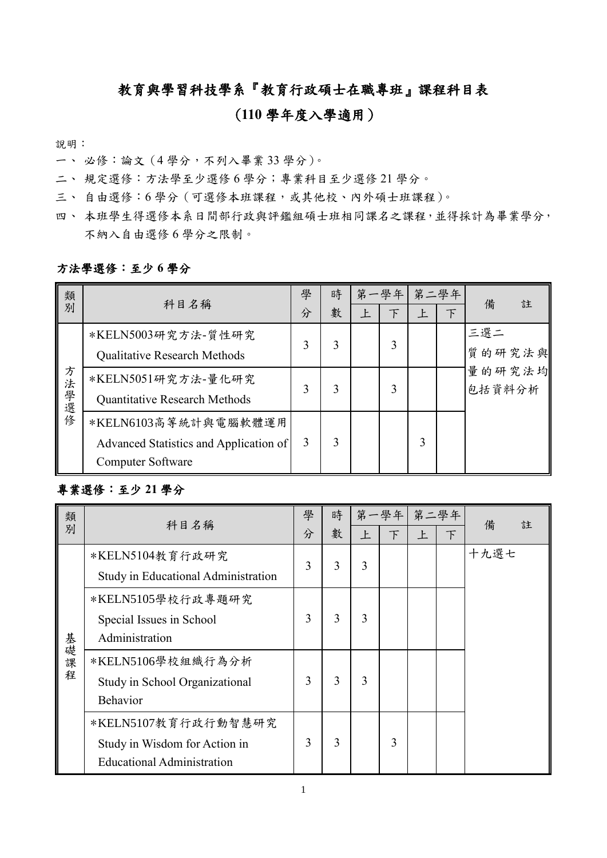## 教育與學習科技學系『教育行政碩士在職專班』課程科目表

## (**110** 學年度入學適用)

說明:

- 一、 必修:論文(4 學分,不列入畢業 33 學分)。
- 二、 規定選修:方法學至少選修 6 學分;專業科目至少選修 21 學分。
- 三、 自由選修:6學分 (可選修本班課程,或其他校、內外碩士班課程)。
- 四、本班學生得選修本系日間部行政與評鑑組碩士班相同課名之課程,並得採計為畢業學分, 不納入自由選修 6 學分之限制。

## 方法學選修:至少 **6** 學分

| 類別    | 科目名稱                                                                                       | 學<br>分 | 時<br>數 | 第一學年 <br>下 | 第二學年<br><b>F</b> | $\top$ | 備                | 註 |
|-------|--------------------------------------------------------------------------------------------|--------|--------|------------|------------------|--------|------------------|---|
| 方法學選修 | *KELN5003研究方法-質性研究<br>Qualitative Research Methods                                         | 3      | 3      |            |                  |        | 三選二<br>質的研究法與    |   |
|       | *KELN5051研究方法-量化研究<br>Quantitative Research Methods                                        |        | 3      |            |                  |        | 量的研究法均<br>包括資料分析 |   |
|       | *KELN6103高等統計與電腦軟體運用<br>Advanced Statistics and Application of<br><b>Computer Software</b> | 3      | 3      |            | 3                |        |                  |   |

## 專業選修:至少 **21** 學分

| 類    | 科目名稱                                | 學 | 時 |   | 第一學年 第二學年 |   |               | 備    | 註 |
|------|-------------------------------------|---|---|---|-----------|---|---------------|------|---|
| 別    |                                     | 分 | 數 | 上 | $\top$    | 上 | $\mathcal{F}$ |      |   |
|      | *KELN5104教育行政研究                     | 3 | 3 | 3 |           |   |               | 十九選七 |   |
|      | Study in Educational Administration |   |   |   |           |   |               |      |   |
|      | *KELN5105學校行政專題研究                   |   |   |   |           |   |               |      |   |
|      | Special Issues in School            | 3 | 3 | 3 |           |   |               |      |   |
|      | Administration                      |   |   |   |           |   |               |      |   |
| 基礎課程 | *KELN5106學校組織行為分析                   |   |   |   |           |   |               |      |   |
|      | Study in School Organizational      | 3 | 3 | 3 |           |   |               |      |   |
|      | <b>Behavior</b>                     |   |   |   |           |   |               |      |   |
|      | *KELN5107教育行政行動智慧研究                 |   |   |   |           |   |               |      |   |
|      | Study in Wisdom for Action in       | 3 | 3 |   | 3         |   |               |      |   |
|      | <b>Educational Administration</b>   |   |   |   |           |   |               |      |   |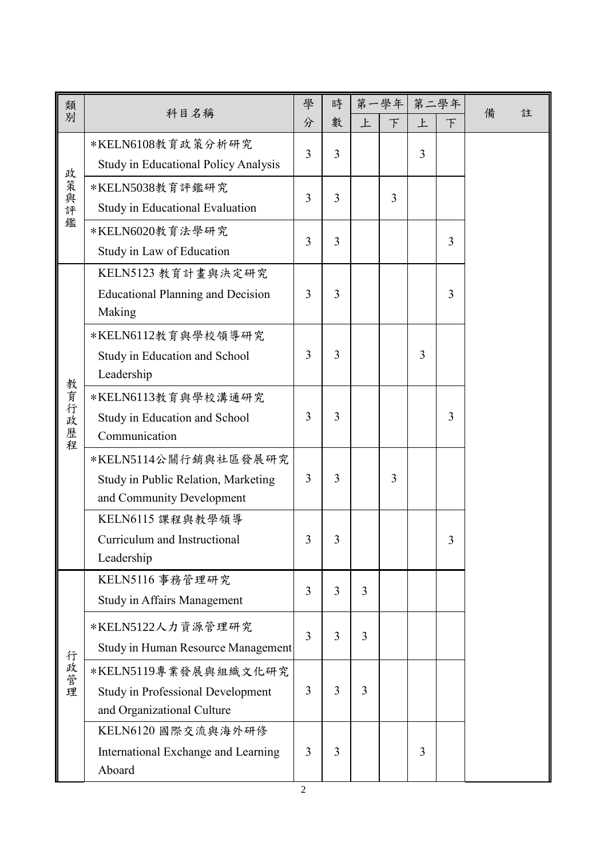| 類          |                                          | 學 | 時              |   | 第一學年   | 第二學年 |                |   |   |
|------------|------------------------------------------|---|----------------|---|--------|------|----------------|---|---|
| 別          | 科目名稱                                     | 分 | 數              | 上 | $\top$ | 上    | F              | 備 | 註 |
|            | *KELN6108教育政策分析研究                        | 3 | 3              |   |        | 3    |                |   |   |
|            | Study in Educational Policy Analysis     |   |                |   |        |      |                |   |   |
| 政策與評       | *KELN5038教育評鑑研究                          | 3 | 3              |   | 3      |      |                |   |   |
|            | Study in Educational Evaluation          |   |                |   |        |      |                |   |   |
| 鑑          | *KELN6020教育法學研究                          | 3 | $\overline{3}$ |   |        |      | $\overline{3}$ |   |   |
|            | Study in Law of Education                |   |                |   |        |      |                |   |   |
|            | KELN5123 教育計畫與決定研究                       |   |                |   |        |      |                |   |   |
|            | <b>Educational Planning and Decision</b> | 3 | 3              |   |        |      | 3              |   |   |
|            | Making                                   |   |                |   |        |      |                |   |   |
|            | *KELN6112教育與學校領導研究                       |   |                |   |        |      |                |   |   |
|            | Study in Education and School            | 3 | 3              |   |        | 3    |                |   |   |
|            | Leadership                               |   |                |   |        |      |                |   |   |
|            | *KELN6113教育與學校溝通研究                       |   |                |   |        |      |                |   |   |
| 教育行政<br>歷程 | Study in Education and School            | 3 | 3              |   |        |      | 3              |   |   |
|            | Communication                            |   |                |   |        |      |                |   |   |
|            | *KELN5114公關行銷與社區發展研究                     |   |                |   |        |      |                |   |   |
|            | Study in Public Relation, Marketing      | 3 | 3              |   | 3      |      |                |   |   |
|            | and Community Development                |   |                |   |        |      |                |   |   |
|            | KELN6115 課程與教學領導                         |   |                |   |        |      |                |   |   |
|            | Curriculum and Instructional             | 3 | 3              |   |        |      | 3              |   |   |
|            | Leadership                               |   |                |   |        |      |                |   |   |
|            | KELN5116 事務管理研究                          | 3 | 3              | 3 |        |      |                |   |   |
|            | <b>Study in Affairs Management</b>       |   |                |   |        |      |                |   |   |
|            | *KELN5122人力資源管理研究                        | 3 | 3              | 3 |        |      |                |   |   |
| 行政管理       | Study in Human Resource Management       |   |                |   |        |      |                |   |   |
|            | *KELN5119專業發展與組織文化研究                     |   |                |   |        |      |                |   |   |
|            | <b>Study in Professional Development</b> | 3 | 3              | 3 |        |      |                |   |   |
|            | and Organizational Culture               |   |                |   |        |      |                |   |   |
|            | KELN6120 國際交流與海外研修                       |   |                |   |        |      |                |   |   |
|            | International Exchange and Learning      | 3 | 3              |   |        | 3    |                |   |   |
|            | Aboard                                   |   |                |   |        |      |                |   |   |